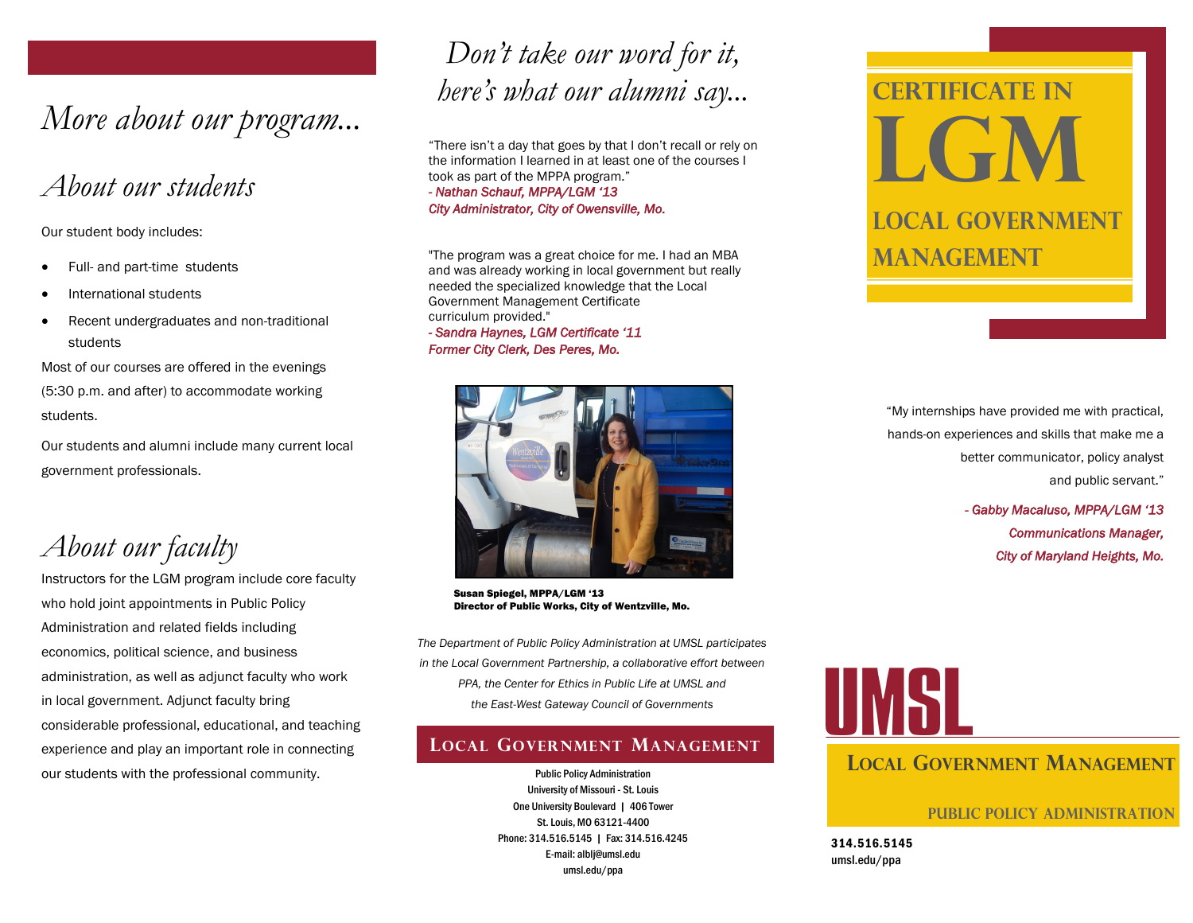# *More about our program...*

## *About our students*

Our student body includes:

- Full- and part-time students
- International students
- Recent undergraduates and non-traditional students

Most of our courses are offered in the evenings (5:30 p.m. and after) to accommodate working students.

Our students and alumni include many current local government professionals.

*About our faculty*

Instructors for the LGM program include core faculty who hold joint appointments in Public Policy Administration and related fields including economics, political science, and business administration, as well as adjunct faculty who work in local government. Adjunct faculty bring considerable professional, educational, and teaching experience and play an important role in connecting our students with the professional community.

# *Don't take our word for it, here's what our alumni say...*

"There isn't a day that goes by that I don't recall or rely on the information I learned in at least one of the courses I took as part of the MPPA program." *- Nathan Schauf, MPPA/LGM '13 City Administrator, City of Owensville, Mo.* 

"The program was a great choice for me. I had an MBA and was already working in local government but really needed the specialized knowledge that the Local Government Management Certificate curriculum provided."

*- Sandra Haynes, LGM Certificate '11 Former City Clerk, Des Peres, Mo.*



Susan Spiegel, MPPA/LGM '13 Director of Public Works, City of Wentzville, Mo.

*The Department of Public Policy Administration at UMSL participates in the Local Government Partnership, a collaborative effort between PPA, the Center for Ethics in Public Life at UMSL and the East-West Gateway Council of Governments*

## **LOCAL GOVERNMENT MANAGEMENT**

Public Policy Administration University of Missouri - St. Louis One University Boulevard | 406 Tower St. Louis, MO 63121-4400 Phone: 314.516.5145 | Fax: 314.516.4245 E-mail: alblj@umsl.edu umsl.edu/ppa

# **Certificate in LGW Local Government Management**

"My internships have provided me with practical, hands-on experiences and skills that make me a better communicator, policy analyst and public servant."

> - *Gabby Macaluso, MPPA/LGM '13 Communications Manager, City of Maryland Heights, Mo.*



## **LOCAL GOVERNMENT MANAGEMENT**

**Public Policy Administration**

314.516.5145 umsl.edu/ppa